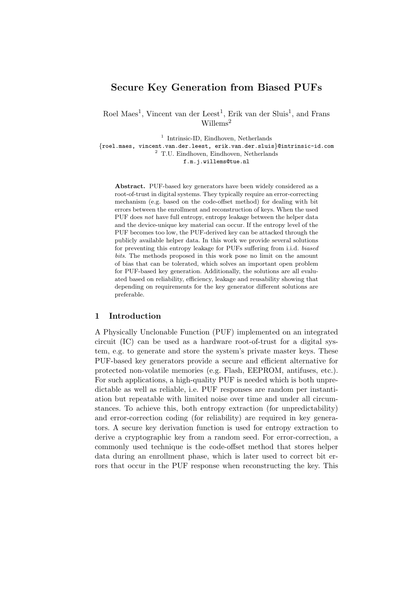# Secure Key Generation from Biased PUFs

Roel Maes<sup>1</sup>, Vincent van der Leest<sup>1</sup>, Erik van der Sluis<sup>1</sup>, and Frans Willems<sup>2</sup>

<sup>1</sup> Intrinsic-ID, Eindhoven, Netherlands

{roel.maes, vincent.van.der.leest, erik.van.der.sluis}@intrinsic-id.com <sup>2</sup> T.U. Eindhoven, Eindhoven, Netherlands

f.m.j.willems@tue.nl

Abstract. PUF-based key generators have been widely considered as a root-of-trust in digital systems. They typically require an error-correcting mechanism (e.g. based on the code-offset method) for dealing with bit errors between the enrollment and reconstruction of keys. When the used PUF does not have full entropy, entropy leakage between the helper data and the device-unique key material can occur. If the entropy level of the PUF becomes too low, the PUF-derived key can be attacked through the publicly available helper data. In this work we provide several solutions for preventing this entropy leakage for PUFs suffering from i.i.d. biased bits. The methods proposed in this work pose no limit on the amount of bias that can be tolerated, which solves an important open problem for PUF-based key generation. Additionally, the solutions are all evaluated based on reliability, efficiency, leakage and reusability showing that depending on requirements for the key generator different solutions are preferable.

#### 1 Introduction

A Physically Unclonable Function (PUF) implemented on an integrated circuit (IC) can be used as a hardware root-of-trust for a digital system, e.g. to generate and store the system's private master keys. These PUF-based key generators provide a secure and efficient alternative for protected non-volatile memories (e.g. Flash, EEPROM, antifuses, etc.). For such applications, a high-quality PUF is needed which is both unpredictable as well as reliable, i.e. PUF responses are random per instantiation but repeatable with limited noise over time and under all circumstances. To achieve this, both entropy extraction (for unpredictability) and error-correction coding (for reliability) are required in key generators. A secure key derivation function is used for entropy extraction to derive a cryptographic key from a random seed. For error-correction, a commonly used technique is the code-offset method that stores helper data during an enrollment phase, which is later used to correct bit errors that occur in the PUF response when reconstructing the key. This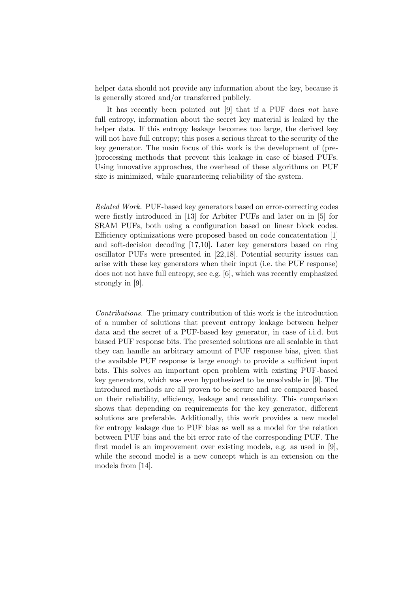helper data should not provide any information about the key, because it is generally stored and/or transferred publicly.

It has recently been pointed out [\[9\]](#page-18-0) that if a PUF does not have full entropy, information about the secret key material is leaked by the helper data. If this entropy leakage becomes too large, the derived key will not have full entropy; this poses a serious threat to the security of the key generator. The main focus of this work is the development of (pre- )processing methods that prevent this leakage in case of biased PUFs. Using innovative approaches, the overhead of these algorithms on PUF size is minimized, while guaranteeing reliability of the system.

Related Work. PUF-based key generators based on error-correcting codes were firstly introduced in [\[13\]](#page-18-1) for Arbiter PUFs and later on in [\[5\]](#page-18-2) for SRAM PUFs, both using a configuration based on linear block codes. Efficiency optimizations were proposed based on code concatentation [\[1\]](#page-18-3) and soft-decision decoding [\[17](#page-19-0)[,10\]](#page-18-4). Later key generators based on ring oscillator PUFs were presented in [\[22](#page-19-1)[,18\]](#page-19-2). Potential security issues can arise with these key generators when their input (i.e. the PUF response) does not not have full entropy, see e.g. [\[6\]](#page-18-5), which was recently emphasized strongly in [\[9\]](#page-18-0).

Contributions. The primary contribution of this work is the introduction of a number of solutions that prevent entropy leakage between helper data and the secret of a PUF-based key generator, in case of i.i.d. but biased PUF response bits. The presented solutions are all scalable in that they can handle an arbitrary amount of PUF response bias, given that the available PUF response is large enough to provide a sufficient input bits. This solves an important open problem with existing PUF-based key generators, which was even hypothesized to be unsolvable in [\[9\]](#page-18-0). The introduced methods are all proven to be secure and are compared based on their reliability, efficiency, leakage and reusability. This comparison shows that depending on requirements for the key generator, different solutions are preferable. Additionally, this work provides a new model for entropy leakage due to PUF bias as well as a model for the relation between PUF bias and the bit error rate of the corresponding PUF. The first model is an improvement over existing models, e.g. as used in [\[9\]](#page-18-0), while the second model is a new concept which is an extension on the models from [\[14\]](#page-18-6).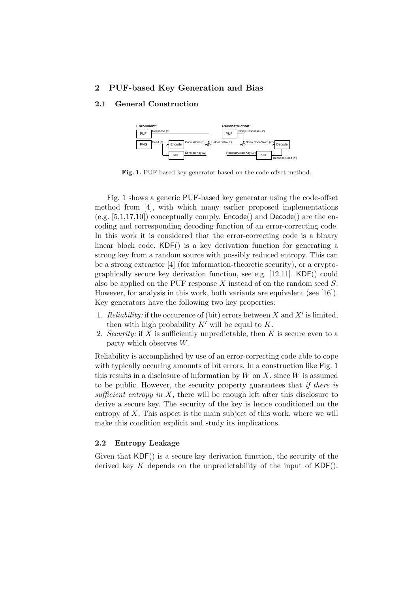## 2 PUF-based Key Generation and Bias

## 2.1 General Construction



<span id="page-2-0"></span>Fig. 1. PUF-based key generator based on the code-offset method.

Fig. [1](#page-2-0) shows a generic PUF-based key generator using the code-offset method from [\[4\]](#page-18-7), with which many earlier proposed implementations (e.g.  $[5,1,17,10]$  $[5,1,17,10]$  $[5,1,17,10]$  $[5,1,17,10]$ ) conceptually comply. **Encode**() and **Decode**() are the encoding and corresponding decoding function of an error-correcting code. In this work it is considered that the error-correcting code is a binary linear block code. KDF() is a key derivation function for generating a strong key from a random source with possibly reduced entropy. This can be a strong extractor [\[4\]](#page-18-7) (for information-theoretic security), or a cryptographically secure key derivation function, see e.g. [\[12](#page-18-8)[,11\]](#page-18-9). KDF() could also be applied on the PUF response X instead of on the random seed S. However, for analysis in this work, both variants are equivalent (see [\[16\]](#page-18-10)). Key generators have the following two key properties:

- 1. Reliability: if the occurence of (bit) errors between X and X' is limited, then with high probability  $K'$  will be equal to  $K$ .
- 2. Security: if X is sufficiently unpredictable, then K is secure even to a party which observes W.

Reliability is accomplished by use of an error-correcting code able to cope with typically occuring amounts of bit errors. In a construction like Fig. [1](#page-2-0) this results in a disclosure of information by  $W$  on  $X$ , since  $W$  is assumed to be public. However, the security property guarantees that if there is sufficient entropy in  $X$ , there will be enough left after this disclosure to derive a secure key. The security of the key is hence conditioned on the entropy of  $X$ . This aspect is the main subject of this work, where we will make this condition explicit and study its implications.

### <span id="page-2-1"></span>2.2 Entropy Leakage

Given that KDF() is a secure key derivation function, the security of the derived key K depends on the unpredictability of the input of  $KDF()$ .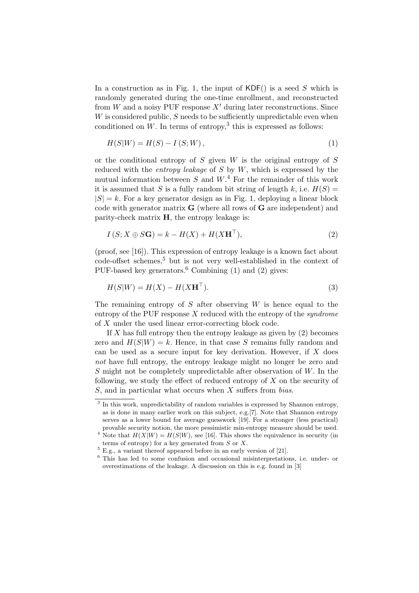In a construction as in Fig. [1,](#page-2-0) the input of  $KDF()$  is a seed S which is randomly generated during the one-time enrollment, and reconstructed from W and a noisy PUF response  $X'$  during later reconstructions. Since  $W$  is considered public,  $S$  needs to be sufficiently unpredictable even when conditioned on  $W$ . In terms of entropy,<sup>[3](#page-3-0)</sup> this is expressed as follows:

<span id="page-3-4"></span>
$$
H(S|W) = H(S) - I(S;W),
$$
\n(1)

or the conditional entropy of  $S$  given  $W$  is the original entropy of  $S$ reduced with the *entropy leakage* of  $S$  by  $W$ , which is expressed by the mutual information between S and  $W^4$  $W^4$ . For the remainder of this work it is assumed that S is a fully random bit string of length k, i.e.  $H(S)$  =  $|S| = k$ . For a key generator design as in Fig. [1,](#page-2-0) deploying a linear block code with generator matrix  $G$  (where all rows of  $G$  are independent) and parity-check matrix  $H$ , the entropy leakage is:

<span id="page-3-5"></span>
$$
I(S; X \oplus S\mathbf{G}) = k - H(X) + H(X\mathbf{H}^{\top}),
$$
\n(2)

(proof, see [\[16\]](#page-18-10)). This expression of entropy leakage is a known fact about code-offset schemes,<sup>[5](#page-3-2)</sup> but is not very well-established in the context of PUF-based key generators.<sup>[6](#page-3-3)</sup> Combining [\(1\)](#page-3-4) and [\(2\)](#page-3-5) gives:

<span id="page-3-6"></span>
$$
H(S|W) = H(X) - H(X\mathbf{H}^{\top}).
$$
\n(3)

The remaining entropy of  $S$  after observing  $W$  is hence equal to the entropy of the PUF response  $X$  reduced with the entropy of the *syndrome* of X under the used linear error-correcting block code.

If X has full entropy then the entropy leakage as given by  $(2)$  becomes zero and  $H(S|W) = k$ . Hence, in that case S remains fully random and can be used as a secure input for key derivation. However, if  $X$  does not have full entropy, the entropy leakage might no longer be zero and S might not be completely unpredictable after observation of  $W$ . In the following, we study the effect of reduced entropy of  $X$  on the security of  $S$ , and in particular what occurs when  $X$  suffers from *bias*.

<span id="page-3-0"></span><sup>&</sup>lt;sup>3</sup> In this work, unpredictability of random variables is expressed by Shannon entropy, as is done in many earlier work on this subject, e.g.[\[7\]](#page-18-11). Note that Shannon entropy serves as a lower bound for average guesswork [\[19\]](#page-19-3). For a stronger (less practical) provable security notion, the more pessimistic min-entropy measure should be used.

<span id="page-3-1"></span><sup>&</sup>lt;sup>4</sup> Note that  $H(X|W) = H(S|W)$ , see [\[16\]](#page-18-10). This shows the equivalence in security (in terms of entropy) for a key generated from  $S$  or  $X$ .

<span id="page-3-2"></span> $5$  E.g., a variant thereof appeared before in an early version of [\[21\]](#page-19-4).

<span id="page-3-3"></span><sup>6</sup> This has led to some confusion and occasional misinterpretations, i.e. under- or overestimations of the leakage. A discussion on this is e.g. found in [\[3\]](#page-18-12)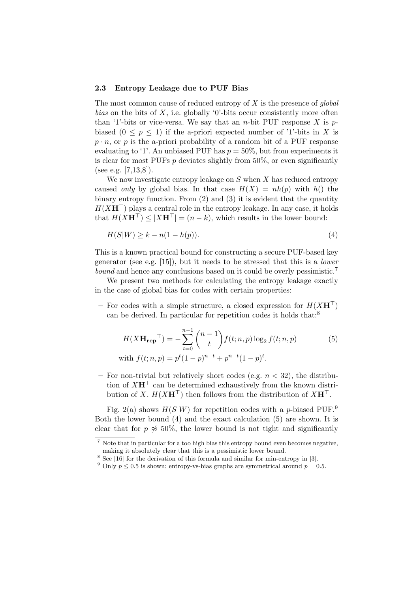#### <span id="page-4-5"></span>2.3 Entropy Leakage due to PUF Bias

The most common cause of reduced entropy of  $X$  is the presence of global bias on the bits of X, i.e. globally '0'-bits occur consistently more often than '1'-bits or vice-versa. We say that an *n*-bit PUF response X is  $p$ biased  $(0 \le p \le 1)$  if the a-priori expected number of '1'-bits in X is  $p \cdot n$ , or p is the a-priori probability of a random bit of a PUF response evaluating to '1'. An unbiased PUF has  $p = 50\%$ , but from experiments it is clear for most PUFs  $p$  deviates slightly from 50%, or even significantly (see e.g. [\[7](#page-18-11)[,13](#page-18-1)[,8\]](#page-18-13)).

We now investigate entropy leakage on  $S$  when  $X$  has reduced entropy caused only by global bias. In that case  $H(X) = nh(p)$  with  $h()$  the binary entropy function. From [\(2\)](#page-3-5) and [\(3\)](#page-3-6) it is evident that the quantity  $H(XH^{\top})$  plays a central role in the entropy leakage. In any case, it holds that  $H(XH^{\top}) \leq |XH^{\top}| = (n - k)$ , which results in the lower bound:

<span id="page-4-3"></span>
$$
H(S|W) \ge k - n(1 - h(p)).\tag{4}
$$

This is a known practical bound for constructing a secure PUF-based key generator (see e.g. [\[15\]](#page-18-14)), but it needs to be stressed that this is a lower bound and hence any conclusions based on it could be overly pessimistic.<sup>[7](#page-4-0)</sup>

We present two methods for calculating the entropy leakage exactly in the case of global bias for codes with certain properties:

– For codes with a simple structure, a closed expression for  $H(XH<sup>T</sup>)$ can be derived. In particular for repetition codes it holds that:<sup>[8](#page-4-1)</sup>

<span id="page-4-4"></span>
$$
H(X\mathbf{H}_{\mathbf{rep}}^{\top}) = -\sum_{t=0}^{n-1} {n-1 \choose t} f(t; n, p) \log_2 f(t; n, p)
$$
(5)  
with  $f(t; n, p) = p^t (1-p)^{n-t} + p^{n-t} (1-p)^t$ .

– For non-trivial but relatively short codes (e.g.  $n < 32$ ), the distribution of  $X\mathbf{H}^{\top}$  can be determined exhaustively from the known distribution of X.  $H(XH^{\top})$  then follows from the distribution of  $XH^{\top}$ .

Fig. [2\(a\)](#page-5-0) shows  $H(S|W)$  for repetition codes with a p-biased PUF.<sup>[9](#page-4-2)</sup> Both the lower bound [\(4\)](#page-4-3) and the exact calculation [\(5\)](#page-4-4) are shown. It is clear that for  $p \approx 50\%$ , the lower bound is not tight and significantly

<span id="page-4-0"></span><sup>7</sup> Note that in particular for a too high bias this entropy bound even becomes negative, making it absolutely clear that this is a pessimistic lower bound.

<span id="page-4-1"></span><sup>&</sup>lt;sup>8</sup> See [\[16\]](#page-18-10) for the derivation of this formula and similar for min-entropy in [\[3\]](#page-18-12).

<span id="page-4-2"></span><sup>&</sup>lt;sup>9</sup> Only  $p \le 0.5$  is shown; entropy-vs-bias graphs are symmetrical around  $p = 0.5$ .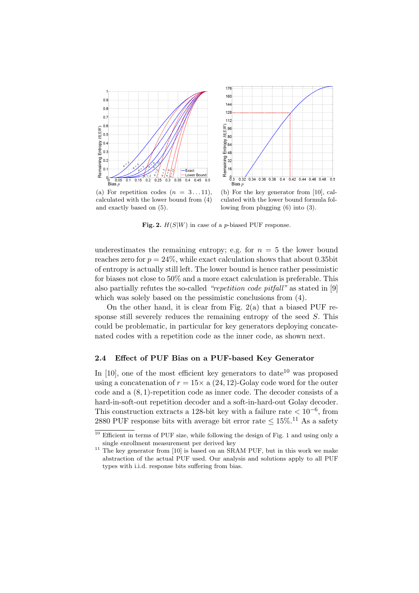<span id="page-5-0"></span>



calculated with the lower bound from [\(4\)](#page-4-3) and exactly based on [\(5\)](#page-4-4).

<span id="page-5-3"></span>(b) For the key generator from [\[10\]](#page-18-4), calculated with the lower bound formula following from plugging [\(6\)](#page-6-0) into [\(3\)](#page-3-6).

Fig. 2.  $H(S|W)$  in case of a p-biased PUF response.

underestimates the remaining entropy; e.g. for  $n = 5$  the lower bound reaches zero for  $p = 24\%$ , while exact calculation shows that about 0.35bit of entropy is actually still left. The lower bound is hence rather pessimistic for biases not close to 50% and a more exact calculation is preferable. This also partially refutes the so-called "repetition code pitfall" as stated in [\[9\]](#page-18-0) which was solely based on the pessimistic conclusions from [\(4\)](#page-4-3).

On the other hand, it is clear from Fig.  $2(a)$  that a biased PUF response still severely reduces the remaining entropy of the seed S. This could be problematic, in particular for key generators deploying concatenated codes with a repetition code as the inner code, as shown next.

## <span id="page-5-4"></span>2.4 Effect of PUF Bias on a PUF-based Key Generator

In  $[10]$ , one of the most efficient key generators to date<sup>[10](#page-5-1)</sup> was proposed using a concatenation of  $r = 15 \times a$  (24, 12)-Golay code word for the outer code and a (8, 1)-repetition code as inner code. The decoder consists of a hard-in-soft-out repetition decoder and a soft-in-hard-out Golay decoder. This construction extracts a 128-bit key with a failure rate  $< 10^{-6}$ , from 2880 PUF response bits with average bit error rate  $\leq 15\%$ .<sup>[11](#page-5-2)</sup> As a safety

<span id="page-5-1"></span> $\frac{10}{10}$  Efficient in terms of PUF size, while following the design of Fig. [1](#page-2-0) and using only a single enrollment measurement per derived key

<span id="page-5-2"></span> $11$  The key generator from [\[10\]](#page-18-4) is based on an SRAM PUF, but in this work we make abstraction of the actual PUF used. Our analysis and solutions apply to all PUF types with i.i.d. response bits suffering from bias.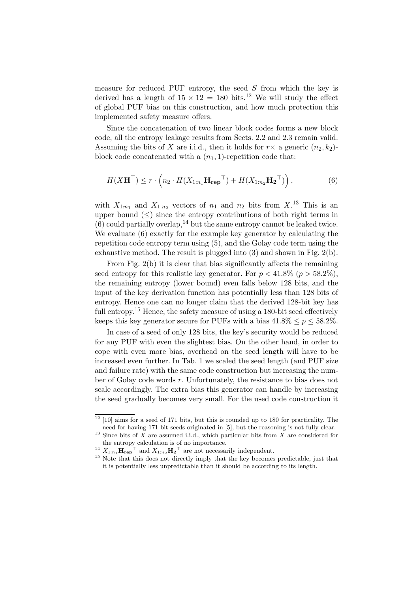measure for reduced PUF entropy, the seed  $S$  from which the key is derived has a length of  $15 \times 12 = 180$  $15 \times 12 = 180$  $15 \times 12 = 180$  bits.<sup>12</sup> We will study the effect of global PUF bias on this construction, and how much protection this implemented safety measure offers.

Since the concatenation of two linear block codes forms a new block code, all the entropy leakage results from Sects. [2.2](#page-2-1) and [2.3](#page-4-5) remain valid. Assuming the bits of X are i.i.d., then it holds for  $r \times a$  generic  $(n_2, k_2)$ block code concatenated with a  $(n_1, 1)$ -repetition code that:

<span id="page-6-0"></span>
$$
H(X\mathbf{H}^{\top}) \le r \cdot \left( n_2 \cdot H(X_{1:n_1} \mathbf{H}_{\mathbf{rep}}^{\top}) + H(X_{1:n_2} \mathbf{H}_2^{\top}) \right),\tag{6}
$$

with  $X_{1:n_1}$  and  $X_{1:n_2}$  vectors of  $n_1$  and  $n_2$  bits from  $X$ .<sup>[13](#page-6-2)</sup> This is an upper bound  $(\leq)$  since the entropy contributions of both right terms in  $(6)$  could partially overlap,<sup>[14](#page-6-3)</sup> but the same entropy cannot be leaked twice. We evaluate [\(6\)](#page-6-0) exactly for the example key generator by calculating the repetition code entropy term using [\(5\)](#page-4-4), and the Golay code term using the exhaustive method. The result is plugged into [\(3\)](#page-3-6) and shown in Fig. [2\(b\).](#page-5-3)

From Fig. [2\(b\)](#page-5-3) it is clear that bias significantly affects the remaining seed entropy for this realistic key generator. For  $p < 41.8\%$  ( $p > 58.2\%$ ), the remaining entropy (lower bound) even falls below 128 bits, and the input of the key derivation function has potentially less than 128 bits of entropy. Hence one can no longer claim that the derived 128-bit key has full entropy.<sup>[15](#page-6-4)</sup> Hence, the safety measure of using a 180-bit seed effectively keeps this key generator secure for PUFs with a bias  $41.8\% \le p \le 58.2\%$ .

In case of a seed of only 128 bits, the key's security would be reduced for any PUF with even the slightest bias. On the other hand, in order to cope with even more bias, overhead on the seed length will have to be increased even further. In Tab. [1](#page-7-0) we scaled the seed length (and PUF size and failure rate) with the same code construction but increasing the number of Golay code words r. Unfortunately, the resistance to bias does not scale accordingly. The extra bias this generator can handle by increasing the seed gradually becomes very small. For the used code construction it

<span id="page-6-1"></span> $12$  [\[10\]](#page-18-4) aims for a seed of 171 bits, but this is rounded up to 180 for practicality. The need for having 171-bit seeds originated in [\[5\]](#page-18-2), but the reasoning is not fully clear.

<span id="page-6-2"></span><sup>&</sup>lt;sup>13</sup> Since bits of  $\overline{X}$  are assumed i.i.d., which particular bits from  $X$  are considered for the entropy calculation is of no importance.

<span id="page-6-3"></span> $\mathbf{1}^4$   $X_{1:n_1}$   $\mathbf{H}_{\mathbf{rep}}$ <sup>T</sup> and  $X_{1:n_2}$   $\mathbf{H}_{2}$ <sup>T</sup> are not necessarily independent.

<span id="page-6-4"></span><sup>&</sup>lt;sup>15</sup> Note that this does not directly imply that the key becomes predictable, just that it is potentially less unpredictable than it should be according to its length.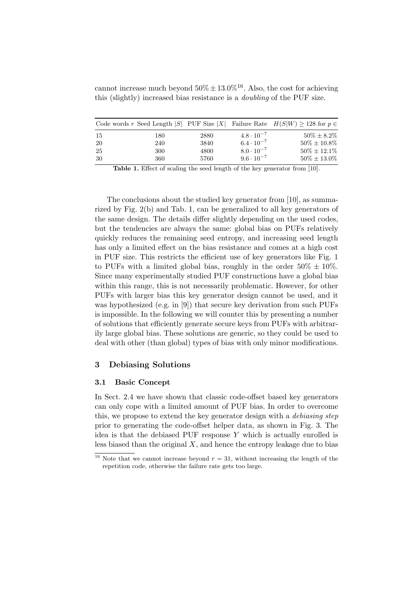cannot increase much beyond  $50\% \pm 13.0\%$ <sup>[16](#page-7-1)</sup>. Also, the cost for achieving this (slightly) increased bias resistance is a doubling of the PUF size.

|     |     |      |                     | Code words r Seed Length  S  PUF Size  X  Failure Rate $H(S W) \ge 128$ for $p \in$ |
|-----|-----|------|---------------------|-------------------------------------------------------------------------------------|
| -15 | 180 | 2880 | $4.8 \cdot 10^{-7}$ | $50\% \pm 8.2\%$                                                                    |
| -20 | 240 | 3840 | $6.4 \cdot 10^{-7}$ | $50\% \pm 10.8\%$                                                                   |
| -25 | 300 | 4800 | $8.0 \cdot 10^{-7}$ | $50\% \pm 12.1\%$                                                                   |
| -30 | 360 | 5760 | $9.6 \cdot 10^{-7}$ | $50\% \pm 13.0\%$                                                                   |

<span id="page-7-0"></span>Table 1. Effect of scaling the seed length of the key generator from [\[10\]](#page-18-4).

The conclusions about the studied key generator from [\[10\]](#page-18-4), as summarized by Fig. [2\(b\)](#page-5-3) and Tab. [1,](#page-7-0) can be generalized to all key generators of the same design. The details differ slightly depending on the used codes, but the tendencies are always the same: global bias on PUFs relatively quickly reduces the remaining seed entropy, and increasing seed length has only a limited effect on the bias resistance and comes at a high cost in PUF size. This restricts the efficient use of key generators like Fig. [1](#page-2-0) to PUFs with a limited global bias, roughly in the order  $50\% \pm 10\%$ . Since many experimentally studied PUF constructions have a global bias within this range, this is not necessarily problematic. However, for other PUFs with larger bias this key generator design cannot be used, and it was hypothesized (e.g. in [\[9\]](#page-18-0)) that secure key derivation from such PUFs is impossible. In the following we will counter this by presenting a number of solutions that efficiently generate secure keys from PUFs with arbitrarily large global bias. These solutions are generic, so they could be used to deal with other (than global) types of bias with only minor modifications.

### <span id="page-7-2"></span>3 Debiasing Solutions

#### 3.1 Basic Concept

In Sect. [2.4](#page-5-4) we have shown that classic code-offset based key generators can only cope with a limited amount of PUF bias. In order to overcome this, we propose to extend the key generator design with a *debiasing step* prior to generating the code-offset helper data, as shown in Fig. [3.](#page-8-0) The idea is that the debiased PUF response  $Y$  which is actually enrolled is less biased than the original  $X$ , and hence the entropy leakage due to bias

<span id="page-7-1"></span><sup>&</sup>lt;sup>16</sup> Note that we cannot increase beyond  $r = 31$ , without increasing the length of the repetition code, otherwise the failure rate gets too large.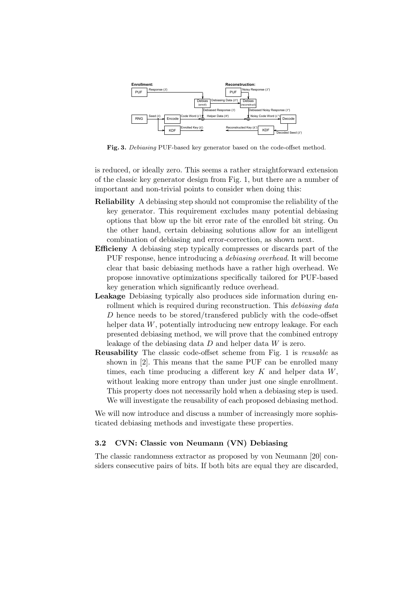

<span id="page-8-0"></span>Fig. 3. Debiasing PUF-based key generator based on the code-offset method.

is reduced, or ideally zero. This seems a rather straightforward extension of the classic key generator design from Fig. [1,](#page-2-0) but there are a number of important and non-trivial points to consider when doing this:

- Reliability A debiasing step should not compromise the reliability of the key generator. This requirement excludes many potential debiasing options that blow up the bit error rate of the enrolled bit string. On the other hand, certain debiasing solutions allow for an intelligent combination of debiasing and error-correction, as shown next.
- Efficieny A debiasing step typically compresses or discards part of the PUF response, hence introducing a debiasing overhead. It will become clear that basic debiasing methods have a rather high overhead. We propose innovative optimizations specifically tailored for PUF-based key generation which significantly reduce overhead.
- Leakage Debiasing typically also produces side information during enrollment which is required during reconstruction. This *debiasing data* D hence needs to be stored/transfered publicly with the code-offset helper data W, potentially introducing new entropy leakage. For each presented debiasing method, we will prove that the combined entropy leakage of the debiasing data  $D$  and helper data  $W$  is zero.
- **Reusability** The classic code-offset scheme from Fig. [1](#page-2-0) is *reusable* as shown in [\[2\]](#page-18-15). This means that the same PUF can be enrolled many times, each time producing a different key  $K$  and helper data  $W$ , without leaking more entropy than under just one single enrollment. This property does not necessarily hold when a debiasing step is used. We will investigate the reusability of each proposed debiasing method.

We will now introduce and discuss a number of increasingly more sophisticated debiasing methods and investigate these properties.

## <span id="page-8-1"></span>3.2 CVN: Classic von Neumann (VN) Debiasing

The classic randomness extractor as proposed by von Neumann [\[20\]](#page-19-5) considers consecutive pairs of bits. If both bits are equal they are discarded,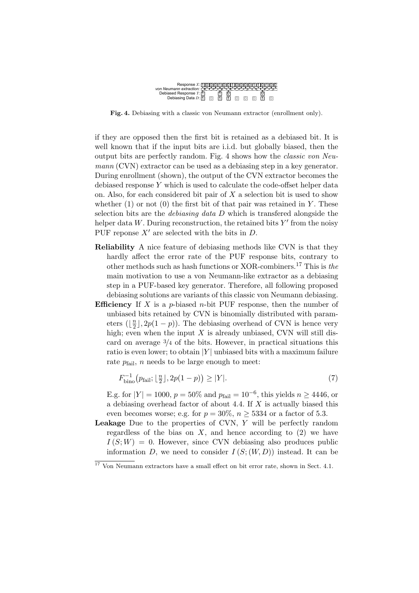<span id="page-9-0"></span>

Fig. 4. Debiasing with a classic von Neumann extractor (enrollment only).

if they are opposed then the first bit is retained as a debiased bit. It is well known that if the input bits are i.i.d. but globally biased, then the output bits are perfectly random. Fig. [4](#page-9-0) shows how the classic von Neumann (CVN) extractor can be used as a debiasing step in a key generator. During enrollment (shown), the output of the CVN extractor becomes the debiased response Y which is used to calculate the code-offset helper data on. Also, for each considered bit pair of  $X$  a selection bit is used to show whether  $(1)$  or not  $(0)$  the first bit of that pair was retained in Y. These selection bits are the *debiasing data D* which is transfered alongside the helper data  $W$ . During reconstruction, the retained bits  $Y'$  from the noisy PUF reponse  $X'$  are selected with the bits in D.

- Reliability A nice feature of debiasing methods like CVN is that they hardly affect the error rate of the PUF response bits, contrary to other methods such as hash functions or XOR-combiners.<sup>[17](#page-9-1)</sup> This is the main motivation to use a von Neumann-like extractor as a debiasing step in a PUF-based key generator. Therefore, all following proposed debiasing solutions are variants of this classic von Neumann debiasing.
- **Efficiency** If X is a p-biased n-bit PUF response, then the number of unbiased bits retained by CVN is binomially distributed with parameters  $\left(\left\lfloor \frac{n}{2}\right\rfloor\right)$  $\frac{n}{2}$ , 2p(1 – p)). The debiasing overhead of CVN is hence very high; even when the input  $X$  is already unbiased, CVN will still discard on average  $\frac{3}{4}$  of the bits. However, in practical situations this ratio is even lower; to obtain  $|Y|$  unbiased bits with a maximum failure rate  $p_{\text{fail}}$ , *n* needs to be large enough to meet:

<span id="page-9-2"></span>
$$
F_{\text{bino}}^{-1}(p_{\text{fail}}; \lfloor \frac{n}{2} \rfloor, 2p(1-p)) \ge |Y|.
$$
 (7)

E.g. for  $|Y| = 1000$ ,  $p = 50\%$  and  $p_{\text{fail}} = 10^{-6}$ , this yields  $n \ge 4446$ , or a debiasing overhead factor of about 4.4. If  $X$  is actually biased this even becomes worse; e.g. for  $p = 30\%$ ,  $n \geq 5334$  or a factor of 5.3.

**Leakage** Due to the properties of CVN,  $Y$  will be perfectly random regardless of the bias on  $X$ , and hence according to  $(2)$  we have  $I(S;W) = 0$ . However, since CVN debiasing also produces public information D, we need to consider  $I(S;(W,D))$  instead. It can be

<span id="page-9-1"></span><sup>&</sup>lt;sup>17</sup> Von Neumann extractors have a small effect on bit error rate, shown in Sect. [4.1.](#page-15-0)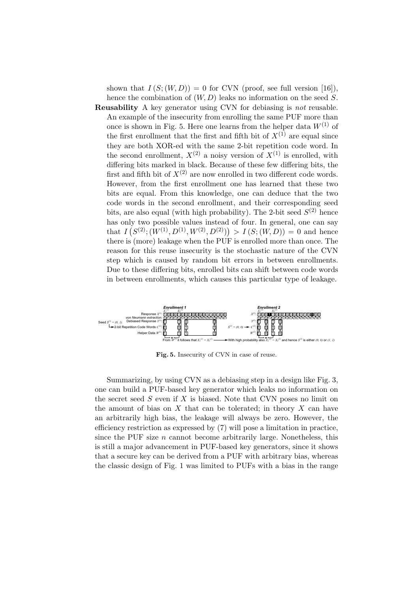shown that  $I(S;(W,D)) = 0$  for CVN (proof, see full version [\[16\]](#page-18-10)), hence the combination of  $(W, D)$  leaks no information on the seed S.

Reusability A key generator using CVN for debiasing is not reusable. An example of the insecurity from enrolling the same PUF more than once is shown in Fig. [5.](#page-10-0) Here one learns from the helper data  $W^{(1)}$  of the first enrollment that the first and fifth bit of  $X^{(1)}$  are equal since they are both XOR-ed with the same 2-bit repetition code word. In the second enrollment,  $X^{(2)}$  a noisy version of  $X^{(1)}$  is enrolled, with differing bits marked in black. Because of these few differing bits, the first and fifth bit of  $X^{(2)}$  are now enrolled in two different code words. However, from the first enrollment one has learned that these two bits are equal. From this knowledge, one can deduce that the two code words in the second enrollment, and their corresponding seed bits, are also equal (with high probability). The 2-bit seed  $S^{(2)}$  hence has only two possible values instead of four. In general, one can say that  $I(S^{(2)}; (W^{(1)}, D^{(1)}, W^{(2)}, D^{(2)})) > I(S; (W, D)) = 0$  and hence there is (more) leakage when the PUF is enrolled more than once. The reason for this reuse insecurity is the stochastic nature of the CVN step which is caused by random bit errors in between enrollments. Due to these differing bits, enrolled bits can shift between code words in between enrollments, which causes this particular type of leakage.



<span id="page-10-0"></span>Fig. 5. Insecurity of CVN in case of reuse.

Summarizing, by using CVN as a debiasing step in a design like Fig. [3,](#page-8-0) one can build a PUF-based key generator which leaks no information on the secret seed  $S$  even if  $X$  is biased. Note that CVN poses no limit on the amount of bias on  $X$  that can be tolerated; in theory  $X$  can have an arbitrarily high bias, the leakage will always be zero. However, the efficiency restriction as expressed by [\(7\)](#page-9-2) will pose a limitation in practice, since the PUF size  $n$  cannot become arbitrarily large. Nonetheless, this is still a major advancement in PUF-based key generators, since it shows that a secure key can be derived from a PUF with arbitrary bias, whereas the classic design of Fig. [1](#page-2-0) was limited to PUFs with a bias in the range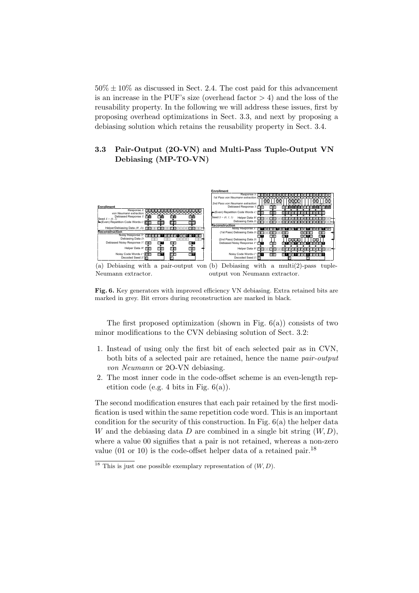$50\% \pm 10\%$  as discussed in Sect. [2.4.](#page-5-4) The cost paid for this advancement is an increase in the PUF's size (overhead factor  $> 4$ ) and the loss of the reusability property. In the following we will address these issues, first by proposing overhead optimizations in Sect. [3.3,](#page-11-0) and next by proposing a debiasing solution which retains the reusability property in Sect. [3.4.](#page-13-0)

## <span id="page-11-0"></span>3.3 Pair-Output (2O-VN) and Multi-Pass Tuple-Output VN Debiasing (MP-TO-VN)

<span id="page-11-1"></span>

<span id="page-11-3"></span>(a) Debiasing with a pair-output von (b) Debiasing with a multi(2)-pass tuple-Neumann extractor. output von Neumann extractor.

Fig. 6. Key generators with improved efficiency VN debiasing. Extra retained bits are marked in grey. Bit errors during reconstruction are marked in black.

The first proposed optimization (shown in Fig.  $6(a)$ ) consists of two minor modifications to the CVN debiasing solution of Sect. [3.2:](#page-8-1)

- 1. Instead of using only the first bit of each selected pair as in CVN, both bits of a selected pair are retained, hence the name pair-output von Neumann or 2O-VN debiasing.
- 2. The most inner code in the code-offset scheme is an even-length repetition code (e.g. 4 bits in Fig.  $6(a)$ ).

The second modification ensures that each pair retained by the first modification is used within the same repetition code word. This is an important condition for the security of this construction. In Fig. [6\(a\)](#page-11-1) the helper data W and the debiasing data D are combined in a single bit string  $(W, D)$ , where a value 00 signifies that a pair is not retained, whereas a non-zero value (01 or 10) is the code-offset helper data of a retained pair.<sup>[18](#page-11-2)</sup>

<span id="page-11-2"></span><sup>&</sup>lt;sup>18</sup> This is just one possible exemplary representation of  $(W, D)$ .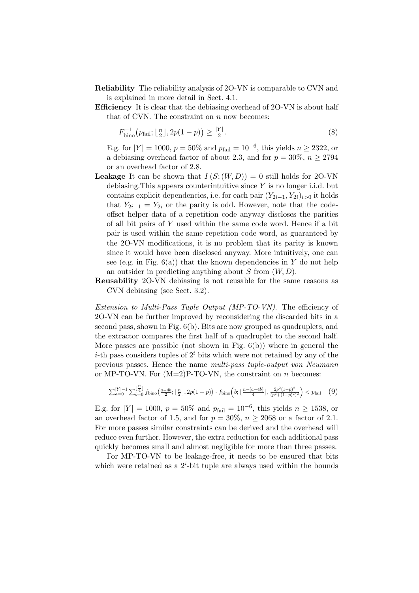- Reliability The reliability analysis of 2O-VN is comparable to CVN and is explained in more detail in Sect. [4.1.](#page-15-0)
- Efficiency It is clear that the debiasing overhead of 2O-VN is about half that of CVN. The constraint on  $n$  now becomes:

$$
F_{\text{bino}}^{-1}(p_{\text{fail}}; \lfloor \frac{n}{2} \rfloor, 2p(1-p)) \ge \frac{|Y|}{2}.\tag{8}
$$

E.g. for  $|Y| = 1000$ ,  $p = 50\%$  and  $p_{\text{fail}} = 10^{-6}$ , this yields  $n \ge 2322$ , or a debiasing overhead factor of about 2.3, and for  $p = 30\%, n \ge 2794$ or an overhead factor of 2.8.

- **Leakage** It can be shown that  $I(S; (W, D)) = 0$  still holds for 2O-VN debiasing. This appears counterintuitive since  $Y$  is no longer i.i.d. but contains explicit dependencies, i.e. for each pair  $(Y_{2i-1}, Y_{2i})_{i>0}$  it holds that  $Y_{2i-1} = \overline{Y_{2i}}$  or the parity is odd. However, note that the codeoffset helper data of a repetition code anyway discloses the parities of all bit pairs of Y used within the same code word. Hence if a bit pair is used within the same repetition code word, as guaranteed by the 2O-VN modifications, it is no problem that its parity is known since it would have been disclosed anyway. More intuitively, one can see (e.g. in Fig.  $6(a)$ ) that the known dependencies in Y do not help an outsider in predicting anything about  $S$  from  $(W, D)$ .
- Reusability 2O-VN debiasing is not reusable for the same reasons as CVN debiasing (see Sect. [3.2\)](#page-8-1).

Extension to Multi-Pass Tuple Output (MP-TO-VN). The efficiency of 2O-VN can be further improved by reconsidering the discarded bits in a second pass, shown in Fig. [6\(b\).](#page-11-3) Bits are now grouped as quadruplets, and the extractor compares the first half of a quadruplet to the second half. More passes are possible (not shown in Fig.  $6(b)$ ) where in general the *i*-th pass considers tuples of  $2<sup>i</sup>$  bits which were not retained by any of the previous passes. Hence the name multi-pass tuple-output von Neumann or MP-TO-VN. For  $(M=2)P$ -TO-VN, the constraint on *n* becomes:

$$
\sum_{a=0}^{|Y|-1} \sum_{b=0}^{\lfloor \frac{n}{4} \rfloor} f_{\text{bino}}\left(\frac{a-4b}{2}; \lfloor \frac{n}{2} \rfloor, 2p(1-p)\right) \cdot f_{\text{bino}}\left(b; \lfloor \frac{n-(a-4b)}{4} \rfloor, \frac{2p^2(1-p)^2}{(p^2+(1-p)^2)^2}\right) < p_{\text{fail}} \quad (9)
$$

E.g. for  $|Y| = 1000$ ,  $p = 50\%$  and  $p_{\text{fail}} = 10^{-6}$ , this yields  $n \ge 1538$ , or an overhead factor of 1.5, and for  $p = 30\%$ ,  $n \ge 2068$  or a factor of 2.1. For more passes similar constraints can be derived and the overhead will reduce even further. However, the extra reduction for each additional pass quickly becomes small and almost negligible for more than three passes.

For MP-TO-VN to be leakage-free, it needs to be ensured that bits which were retained as a  $2^i$ -bit tuple are always used within the bounds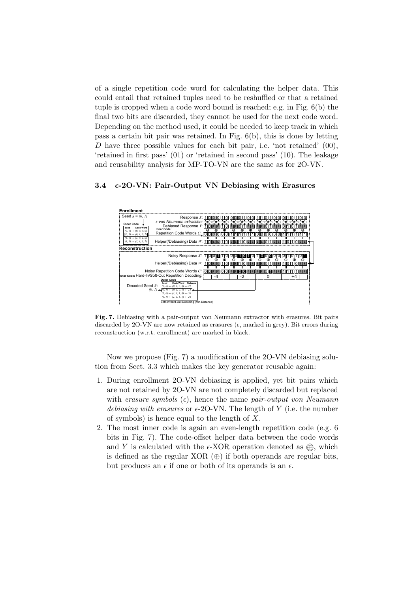of a single repetition code word for calculating the helper data. This could entail that retained tuples need to be reshuffled or that a retained tuple is cropped when a code word bound is reached; e.g. in Fig. [6\(b\)](#page-11-3) the final two bits are discarded, they cannot be used for the next code word. Depending on the method used, it could be needed to keep track in which pass a certain bit pair was retained. In Fig.  $6(b)$ , this is done by letting D have three possible values for each bit pair, i.e. 'not retained'  $(00)$ , 'retained in first pass' (01) or 'retained in second pass' (10). The leakage and reusability analysis for MP-TO-VN are the same as for 2O-VN.

#### <span id="page-13-0"></span>3.4  $\epsilon$ -20-VN: Pair-Output VN Debiasing with Erasures

| <b>Enrollment</b>                                                                                                                                                                                               |                                                                                                                                                                                                                                                                     |
|-----------------------------------------------------------------------------------------------------------------------------------------------------------------------------------------------------------------|---------------------------------------------------------------------------------------------------------------------------------------------------------------------------------------------------------------------------------------------------------------------|
| Seed $S = (0, 1)$<br><b>Outer Code</b><br>Code Word<br>Seed<br>$(0, 0) \rightarrow (0, 0, 0, 0)$<br>$(0, 1) \rightarrow (0, 1, 0, 1)$<br>$(1, 0) \rightarrow (1, 0, 1, 0)$<br>$(l, l) \rightarrow (l, l, l, l)$ | Response $X: [1][0][0][0]$<br>ε-von Neumann extraction: <sub>ΣΣ</sub> ΟΣΟΣΟ ΣΕΟ<br>Debiased Response Y: [1][6][2][2]<br><b>Inner Code:</b><br>œ<br>œ<br>Helper(/Debiasing) Data W: [1] [0] [8] [1] [0] [8] [1] [0] [8] [8] [8] [8] [8] [0] [1] [8]<br>$110$ $E$ $E$ |
| Reconstruction                                                                                                                                                                                                  |                                                                                                                                                                                                                                                                     |
|                                                                                                                                                                                                                 | Noisy Response X <sup>"</sup> : [10011100011010101000<br>œ<br>Œ<br>œ                                                                                                                                                                                                |
|                                                                                                                                                                                                                 | Helper(/Debiasing) Data $W: [1]$ [0] $\epsilon$ $\epsilon$ ]                                                                                                                                                                                                        |
|                                                                                                                                                                                                                 | Noisy Repetition Code Words C': 000 200 200 20<br>$331$                                                                                                                                                                                                             |
|                                                                                                                                                                                                                 | Inner Code: Hard-In/Soft-Out Repetition Decoding:<br>$-2$<br>0<br>$+4$<br>-4<br><b>Outer Code</b>                                                                                                                                                                   |
| Decoded Seed S':                                                                                                                                                                                                | Code Word Distance<br>Seed<br>$(0, 0) \leftarrow (0, 0, 0, 0) \leftarrow 22$<br>$(0, 1)$ $\leftarrow$ $(0, 1)$ $\leftarrow$ $(0, 1, 0, 1)$ $\leftarrow$ 18<br>$(1, 0) \leftarrow (1, 0, 1, 0) \leftarrow 30$                                                        |
|                                                                                                                                                                                                                 | $(l, l) \leftarrow (l, l, l, l) \leftarrow 26$<br>Soft-In/Hard-Out Decoding (Min.Distance)                                                                                                                                                                          |

<span id="page-13-1"></span>Fig. 7. Debiasing with a pair-output von Neumann extractor with erasures. Bit pairs discarded by 2O-VN are now retained as erasures  $(\epsilon,$  marked in grey). Bit errors during reconstruction (w.r.t. enrollment) are marked in black.

Now we propose (Fig. [7\)](#page-13-1) a modification of the 2O-VN debiasing solution from Sect. [3.3](#page-11-0) which makes the key generator reusable again:

- 1. During enrollment 2O-VN debiasing is applied, yet bit pairs which are not retained by 2O-VN are not completely discarded but replaced with erasure symbols  $(\epsilon)$ , hence the name pair-output von Neumann debiasing with erasures or  $\epsilon$ -20-VN. The length of Y (i.e. the number of symbols) is hence equal to the length of X.
- 2. The most inner code is again an even-length repetition code (e.g. 6 bits in Fig. [7\)](#page-13-1). The code-offset helper data between the code words and Y is calculated with the  $\epsilon$ -XOR operation denoted as  $\oplus$ , which is defined as the regular XOR  $(\oplus)$  if both operands are regular bits, but produces an  $\epsilon$  if one or both of its operands is an  $\epsilon$ .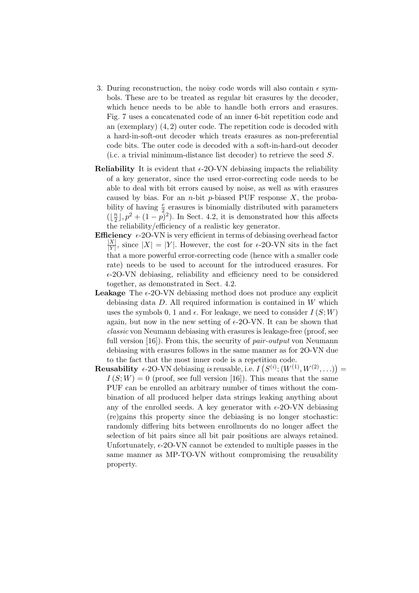- 3. During reconstruction, the noisy code words will also contain  $\epsilon$  symbols. These are to be treated as regular bit erasures by the decoder, which hence needs to be able to handle both errors and erasures. Fig. [7](#page-13-1) uses a concatenated code of an inner 6-bit repetition code and an (exemplary) (4, 2) outer code. The repetition code is decoded with a hard-in-soft-out decoder which treats erasures as non-preferential code bits. The outer code is decoded with a soft-in-hard-out decoder (i.c. a trivial minimum-distance list decoder) to retrieve the seed S.
- **Reliability** It is evident that  $\epsilon$ -20-VN debiasing impacts the reliability of a key generator, since the used error-correcting code needs to be able to deal with bit errors caused by noise, as well as with erasures caused by bias. For an *n*-bit *p*-biased PUF response  $X$ , the probability of having  $\frac{e}{2}$  erasures is binomially distributed with parameters  $\left(\left\lfloor \frac{n}{2}\right\rfloor\right)$  $\frac{n}{2}$ ,  $p^2 + (1 - p)^2$ . In Sect. [4.2,](#page-16-0) it is demonstrated how this affects the reliability/efficiency of a realistic key generator.
- **Efficiency**  $\epsilon$ -2O-VN is very efficient in terms of debiasing overhead factor  $|X|$  $\frac{|X|}{|Y|}$ , since  $|X| = |Y|$ . However, the cost for  $\epsilon$ -20-VN sits in the fact that a more powerful error-correcting code (hence with a smaller code rate) needs to be used to account for the introduced erasures. For  $\epsilon$ -2O-VN debiasing, reliability and efficiency need to be considered together, as demonstrated in Sect. [4.2.](#page-16-0)
- **Leakage** The  $\epsilon$ -20-VN debiasing method does not produce any explicit debiasing data  $D$ . All required information is contained in  $W$  which uses the symbols 0, 1 and  $\epsilon$ . For leakage, we need to consider  $I(S;W)$ again, but now in the new setting of  $\epsilon$ -20-VN. It can be shown that classic von Neumann debiasing with erasures is leakage-free (proof, see full version [\[16\]](#page-18-10)). From this, the security of *pair-output* von Neumann debiasing with erasures follows in the same manner as for 2O-VN due to the fact that the most inner code is a repetition code.
- **Reusability**  $\epsilon$ -20-VN debiasing is reusable, i.e.  $I(S^{(i)}; (W^{(1)}, W^{(2)}, \ldots)) =$  $I(S;W) = 0$  (proof, see full version [\[16\]](#page-18-10)). This means that the same PUF can be enrolled an arbitrary number of times without the combination of all produced helper data strings leaking anything about any of the enrolled seeds. A key generator with  $\epsilon$ -20-VN debiasing (re)gains this property since the debiasing is no longer stochastic: randomly differing bits between enrollments do no longer affect the selection of bit pairs since all bit pair positions are always retained. Unfortunately,  $\epsilon$ -20-VN cannot be extended to multiple passes in the same manner as MP-TO-VN without compromising the reusability property.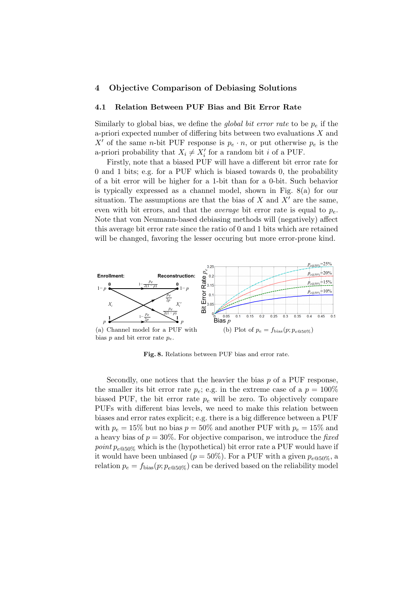## 4 Objective Comparison of Debiasing Solutions

#### <span id="page-15-0"></span>4.1 Relation Between PUF Bias and Bit Error Rate

Similarly to global bias, we define the *global bit error rate* to be  $p_e$  if the a-priori expected number of differing bits between two evaluations  $X$  and X' of the same n-bit PUF response is  $p_e \cdot n$ , or put otherwise  $p_e$  is the a-priori probability that  $X_i \neq X'_i$  for a random bit i of a PUF.

Firstly, note that a biased PUF will have a different bit error rate for 0 and 1 bits; e.g. for a PUF which is biased towards 0, the probability of a bit error will be higher for a 1-bit than for a 0-bit. Such behavior is typically expressed as a channel model, shown in Fig. [8\(a\)](#page-15-1) for our situation. The assumptions are that the bias of  $X$  and  $X'$  are the same, even with bit errors, and that the *average* bit error rate is equal to  $p_e$ . Note that von Neumann-based debiasing methods will (negatively) affect this average bit error rate since the ratio of 0 and 1 bits which are retained will be changed, favoring the lesser occuring but more error-prone kind.

<span id="page-15-1"></span>

<span id="page-15-2"></span>Fig. 8. Relations between PUF bias and error rate.

Secondly, one notices that the heavier the bias  $p$  of a PUF response, the smaller its bit error rate  $p_e$ ; e.g. in the extreme case of a  $p = 100\%$ biased PUF, the bit error rate  $p_e$  will be zero. To objectively compare PUFs with different bias levels, we need to make this relation between biases and error rates explicit; e.g. there is a big difference between a PUF with  $p_e = 15\%$  but no bias  $p = 50\%$  and another PUF with  $p_e = 15\%$  and a heavy bias of  $p = 30\%$ . For objective comparison, we introduce the fixed point  $p_{e@50\%}$  which is the (hypothetical) bit error rate a PUF would have if it would have been unbiased ( $p = 50\%$ ). For a PUF with a given  $p_{e@50\%}$ , a relation  $p_e = f_{bias}(p; p_{e@50\%})$  can be derived based on the reliability model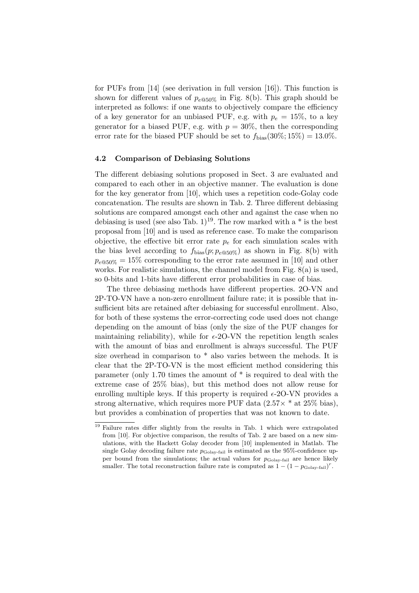for PUFs from [\[14\]](#page-18-6) (see derivation in full version [\[16\]](#page-18-10)). This function is shown for different values of  $p_{e@50\%}$  in Fig. [8\(b\).](#page-15-2) This graph should be interpreted as follows: if one wants to objectively compare the efficiency of a key generator for an unbiased PUF, e.g. with  $p_e = 15\%$ , to a key generator for a biased PUF, e.g. with  $p = 30\%$ , then the corresponding error rate for the biased PUF should be set to  $f_{bias}(30\%;15\%) = 13.0\%$ .

### <span id="page-16-0"></span>4.2 Comparison of Debiasing Solutions

The different debiasing solutions proposed in Sect. [3](#page-7-2) are evaluated and compared to each other in an objective manner. The evaluation is done for the key generator from [\[10\]](#page-18-4), which uses a repetition code-Golay code concatenation. The results are shown in Tab. [2.](#page-17-0) Three different debiasing solutions are compared amongst each other and against the case when no debiasing is used (see also Tab.  $1^{19}$  $1^{19}$  $1^{19}$ . The row marked with a  $*$  is the best proposal from [\[10\]](#page-18-4) and is used as reference case. To make the comparison objective, the effective bit error rate  $p_e$  for each simulation scales with the bias level according to  $f_{bias}(p; p_{e@50\%})$  as shown in Fig. [8\(b\)](#page-15-2) with  $p_{e@50\%} = 15\%$  corresponding to the error rate assumed in [\[10\]](#page-18-4) and other works. For realistic simulations, the channel model from Fig. [8\(a\)](#page-15-1) is used, so 0-bits and 1-bits have different error probabilities in case of bias.

The three debiasing methods have different properties. 2O-VN and 2P-TO-VN have a non-zero enrollment failure rate; it is possible that insufficient bits are retained after debiasing for successful enrollment. Also, for both of these systems the error-correcting code used does not change depending on the amount of bias (only the size of the PUF changes for maintaining reliability), while for  $\epsilon$ -20-VN the repetition length scales with the amount of bias and enrollment is always successful. The PUF size overhead in comparison to \* also varies between the mehods. It is clear that the 2P-TO-VN is the most efficient method considering this parameter (only 1.70 times the amount of  $*$  is required to deal with the extreme case of 25% bias), but this method does not allow reuse for enrolling multiple keys. If this property is required  $\epsilon$ -2O-VN provides a strong alternative, which requires more PUF data  $(2.57 \times$  \* at 25\% bias), but provides a combination of properties that was not known to date.

<span id="page-16-1"></span><sup>&</sup>lt;sup>19</sup> Failure rates differ slightly from the results in Tab. [1](#page-7-0) which were extrapolated from [\[10\]](#page-18-4). For objective comparison, the results of Tab. [2](#page-17-0) are based on a new simulations, with the Hackett Golay decoder from [\[10\]](#page-18-4) implemented in Matlab. The single Golay decoding failure rate  $p_{\text{Golay-fail}}$  is estimated as the 95%-confidence upper bound from the simulations; the actual values for  $p_{\text{Golay-fail}}$  are hence likely smaller. The total reconstruction failure rate is computed as  $1 - (1 - p_{\text{Golay-fail}})^r$ .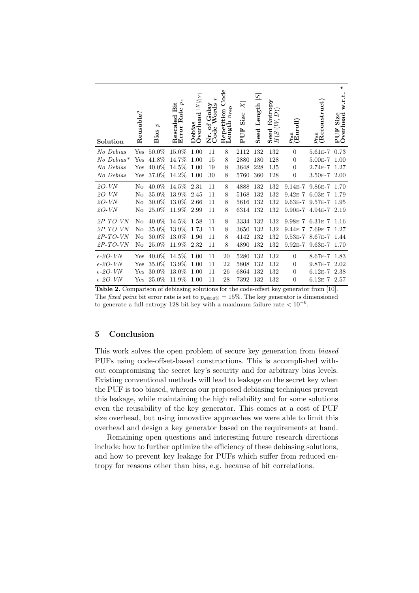| Solution          | Reusable?    | p<br>Bias | $p_e$<br>Rescaled Bit<br>Error Rate p | X / Y <br>Overhead<br>Debias | f Golay<br>Words<br>ð<br>Nr. ot<br>Code | $_{\rm{Code}}$<br>$n_{\bf rep}$<br>Repetition<br>Length $n_{\rm rep}$ | $\times$<br>Size<br>PUF | $\overline{S}$<br>Seed Length | Entropy<br>$\widehat{D})$<br>Seed En $H(S \vert (W,$ | $\frac{p_{\text{fail}}}{(\text{Enroll})}$ | $\frac{p_{\rm fail}}{(\rm Reconstruct)}$ | ¥<br>w.r.t.<br>Overhead<br>Size<br>PUF |
|-------------------|--------------|-----------|---------------------------------------|------------------------------|-----------------------------------------|-----------------------------------------------------------------------|-------------------------|-------------------------------|------------------------------------------------------|-------------------------------------------|------------------------------------------|----------------------------------------|
| No Debias         | Yes          | 50.0%     | 15.0%                                 | 1.00                         | 11                                      | 8                                                                     | 2112                    | 132                           | 132                                                  | $\overline{0}$                            | $5.61E - 7$                              | 0.73                                   |
| $No\ Debias*$     | $_{\rm Yes}$ | 41.8%     | 14.7%                                 | 1.00                         | 15                                      | 8                                                                     | 2880                    | 180                           | 128                                                  | $\boldsymbol{0}$                          | $5.00E-7$                                | 1.00                                   |
| No Debias         | Yes          | 40.0%     | 14.5%                                 | 1.00                         | 19                                      | 8                                                                     | 3648                    | 228                           | 135                                                  | $\overline{0}$                            | $2.74E - 7$                              | 1.27                                   |
| No Debias         | Yes          | $37.0\%$  | 14.2%                                 | 1.00                         | 30                                      | 8                                                                     | 5760                    | 360                           | 128                                                  | $\boldsymbol{0}$                          | $3.50E - 7$                              | 2.00                                   |
| 20-VN             | No           | 40.0%     | 14.5%                                 | 2.31                         | 11                                      | 8                                                                     | 4888                    | 132                           | 132                                                  | $9.14E - 7$                               | $9.86E - 7$                              | 1.70                                   |
| $2O-VN$           | No           | 35.0%     | 13.9%                                 | 2.45                         | 11                                      | 8                                                                     | 5168                    | 132                           | 132                                                  | $9.42E - 7$                               | $6.03E-7$                                | 1.79                                   |
| $2O-VN$           | No           | 30.0%     | 13.0%                                 | 2.66                         | 11                                      | 8                                                                     | 5616                    | 132                           | 132                                                  | $9.63E - 7$                               | $9.57E - 7$                              | 1.95                                   |
| $2O-VN$           | No           | 25.0%     | 11.9%                                 | 2.99                         | 11                                      | 8                                                                     | 6314                    | 132                           | 132                                                  | $9.90E - 7$                               | $4.94E - 7$                              | 2.19                                   |
| $2P$ -TO-VN       | No           | $40.0\%$  | 14.5%                                 | 1.58                         | 11                                      | 8                                                                     | 3334                    | 132                           | 132                                                  | $9.98E - 7$                               | $6.31E-7$                                | 1.16                                   |
| $2P$ -TO-VN       | $\rm No$     | 35.0%     | 13.9%                                 | 1.73                         | 11                                      | 8                                                                     | 3650                    | 132                           | 132                                                  | $9.44E - 7$                               | $7.69E-7$                                | 1.27                                   |
| $2P$ -TO-VN       | No           | 30.0%     | 13.0%                                 | 1.96                         | 11                                      | 8                                                                     | 4142                    | 132                           | 132                                                  | $9.53E - 7$                               | $8.67E - 7$                              | 1.44                                   |
| $2P$ -TO-VN       | No           | 25.0%     | 11.9%                                 | 2.32                         | 11                                      | 8                                                                     | 4890                    | 132                           | 132                                                  | $9.92E - 7$                               | $9.63E-7$                                | 1.70                                   |
| $\epsilon$ -20-VN | Yes          | 40.0%     | 14.5%                                 | 1.00                         | 11                                      | 20                                                                    | 5280                    | 132                           | 132                                                  | $\overline{0}$                            | $8.67E - 7$                              | 1.83                                   |
| $\epsilon$ -20-VN | $_{\rm Yes}$ | 35.0%     | 13.9%                                 | 1.00                         | 11                                      | 22                                                                    | 5808                    | 132                           | 132                                                  | $\theta$                                  | 9.87E-7                                  | 2.02                                   |
| $\epsilon$ -20-VN | Yes          | $30.0\%$  | 13.0%                                 | 1.00                         | 11                                      | 26                                                                    | 6864                    | 132                           | 132                                                  | $\theta$                                  | $6.12E - 7$                              | 2.38                                   |
| $\epsilon$ -20-VN | Yes          | 25.0%     | 11.9%                                 | 1.00                         | 11                                      | 28                                                                    | 7392                    | 132                           | 132                                                  | $\overline{0}$                            | $6.12E - 7$                              | 2.57                                   |

<span id="page-17-0"></span>Table 2. Comparison of debiasing solutions for the code-offset key generator from [\[10\]](#page-18-4). The fixed point bit error rate is set to  $p_{e@50\%} = 15\%$ . The key generator is dimensioned to generate a full-entropy 128-bit key with a maximum failure rate  $< 10^{-6}$ .

## 5 Conclusion

This work solves the open problem of secure key generation from biased PUFs using code-offset-based constructions. This is accomplished without compromising the secret key's security and for arbitrary bias levels. Existing conventional methods will lead to leakage on the secret key when the PUF is too biased, whereas our proposed debiasing techniques prevent this leakage, while maintaining the high reliability and for some solutions even the reusability of the key generator. This comes at a cost of PUF size overhead, but using innovative approaches we were able to limit this overhead and design a key generator based on the requirements at hand.

Remaining open questions and interesting future research directions include: how to further optimize the efficiency of these debiasing solutions, and how to prevent key leakage for PUFs which suffer from reduced entropy for reasons other than bias, e.g. because of bit correlations.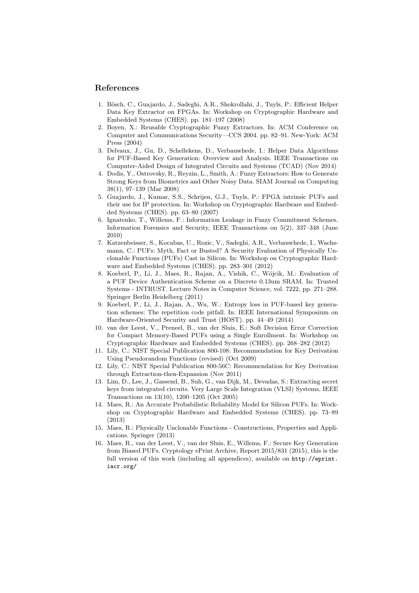## References

- <span id="page-18-3"></span>1. Bösch, C., Guajardo, J., Sadeghi, A.R., Shokrollahi, J., Tuyls, P.: Efficient Helper Data Key Extractor on FPGAs. In: Workshop on Cryptographic Hardware and Embedded Systems (CHES). pp. 181–197 (2008)
- <span id="page-18-15"></span>2. Boyen, X.: Reusable Cryptographic Fuzzy Extractors. In: ACM Conference on Computer and Communications Security—CCS 2004. pp. 82–91. New-York: ACM Press (2004)
- <span id="page-18-12"></span>3. Delvaux, J., Gu, D., Schellekens, D., Verbauwhede, I.: Helper Data Algorithms for PUF-Based Key Generation: Overview and Analysis. IEEE Transactions on Computer-Aided Design of Integrated Circuits and Systems (TCAD) (Nov 2014)
- <span id="page-18-7"></span>4. Dodis, Y., Ostrovsky, R., Reyzin, L., Smith, A.: Fuzzy Extractors: How to Generate Strong Keys from Biometrics and Other Noisy Data. SIAM Journal on Computing 38(1), 97–139 (Mar 2008)
- <span id="page-18-2"></span>5. Guajardo, J., Kumar, S.S., Schrijen, G.J., Tuyls, P.: FPGA intrinsic PUFs and their use for IP protection. In: Workshop on Cryptographic Hardware and Embedded Systems (CHES). pp. 63–80 (2007)
- <span id="page-18-5"></span>6. Ignatenko, T., Willems, F.: Information Leakage in Fuzzy Commitment Schemes. Information Forensics and Security, IEEE Transactions on 5(2), 337–348 (June 2010)
- <span id="page-18-11"></span>7. Katzenbeisser, S., Kocabas, U., Rozic, V., Sadeghi, A.R., Verbauwhede, I., Wachsmann, C.: PUFs: Myth, Fact or Busted? A Security Evaluation of Physically Unclonable Functions (PUFs) Cast in Silicon. In: Workshop on Cryptographic Hardware and Embedded Systems (CHES). pp. 283–301 (2012)
- <span id="page-18-13"></span>8. Koeberl, P., Li, J., Maes, R., Rajan, A., Vishik, C., Wójcik, M.: Evaluation of a PUF Device Authentication Scheme on a Discrete 0.13um SRAM. In: Trusted Systems - INTRUST. Lecture Notes in Computer Science, vol. 7222, pp. 271–288. Springer Berlin Heidelberg (2011)
- <span id="page-18-0"></span>9. Koeberl, P., Li, J., Rajan, A., Wu, W.: Entropy loss in PUF-based key generation schemes: The repetition code pitfall. In: IEEE International Symposium on Hardware-Oriented Security and Trust (HOST). pp. 44–49 (2014)
- <span id="page-18-4"></span>10. van der Leest, V., Preneel, B., van der Sluis, E.: Soft Decision Error Correction for Compact Memory-Based PUFs using a Single Enrollment. In: Workshop on Cryptographic Hardware and Embedded Systems (CHES). pp. 268–282 (2012)
- <span id="page-18-9"></span>11. Lily, C.: NIST Special Publication 800-108: Recommendation for Key Derivation Using Pseudorandom Functions (revised) (Oct 2009)
- <span id="page-18-8"></span>12. Lily, C.: NIST Special Publication 800-56C: Recommendation for Key Derivation through Extraction-then-Expansion (Nov 2011)
- <span id="page-18-1"></span>13. Lim, D., Lee, J., Gassend, B., Suh, G., van Dijk, M., Devadas, S.: Extracting secret keys from integrated circuits. Very Large Scale Integration (VLSI) Systems, IEEE Transactions on 13(10), 1200–1205 (Oct 2005)
- <span id="page-18-6"></span>14. Maes, R.: An Accurate Probabilistic Reliability Model for Silicon PUFs. In: Workshop on Cryptographic Hardware and Embedded Systems (CHES). pp. 73–89 (2013)
- <span id="page-18-14"></span>15. Maes, R.: Physically Unclonable Functions - Constructions, Properties and Applications. Springer (2013)
- <span id="page-18-10"></span>16. Maes, R., van der Leest, V., van der Sluis, E., Willems, F.: Secure Key Generation from Biased PUFs. Cryptology ePrint Archive, Report 2015/831 (2015), this is the full version of this work (including all appendices), available on [http://eprint.](http://eprint.iacr.org/) [iacr.org/](http://eprint.iacr.org/)